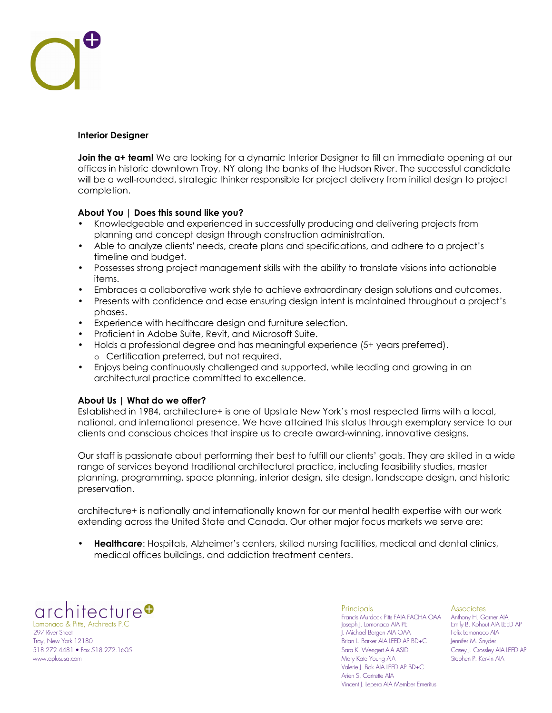## **Interior Designer**

**Join the a+ team!** We are looking for a dynamic Interior Designer to fill an immediate opening at our offices in historic downtown Troy, NY along the banks of the Hudson River. The successful candidate will be a well-rounded, strategic thinker responsible for project delivery from initial design to project completion.

## **About You | Does this sound like you?**

- Knowledgeable and experienced in successfully producing and delivering projects from planning and concept design through construction administration.
- Able to analyze clients' needs, create plans and specifications, and adhere to a project's timeline and budget.
- Possesses strong project management skills with the ability to translate visions into actionable items.
- Embraces a collaborative work style to achieve extraordinary design solutions and outcomes.
- Presents with confidence and ease ensuring design intent is maintained throughout a project's phases.
- Experience with healthcare design and furniture selection.
- Proficient in Adobe Suite, Revit, and Microsoft Suite.
- Holds a professional degree and has meaningful experience (5+ years preferred). o Certification preferred, but not required.
- Enjoys being continuously challenged and supported, while leading and growing in an architectural practice committed to excellence.

## **About Us | What do we offer?**

Established in 1984, architecture+ is one of Upstate New York's most respected firms with a local, national, and international presence. We have attained this status through exemplary service to our clients and conscious choices that inspire us to create award-winning, innovative designs.

Our staff is passionate about performing their best to fulfill our clients' goals. They are skilled in a wide range of services beyond traditional architectural practice, including feasibility studies, master planning, programming, space planning, interior design, site design, landscape design, and historic preservation.

architecture+ is nationally and internationally known for our mental health expertise with our work extending across the United State and Canada. Our other major focus markets we serve are:

• **Healthcare**: Hospitals, Alzheimer's centers, skilled nursing facilities, medical and dental clinics, medical offices buildings, and addiction treatment centers.

 Francis Murdock Pitts FAIA FACHA OAA Anthony H. Garner AIA Lomonaco & Pitts, Architects P.C Joseph J. Lomonaco AIA PE Emily B. Kohout AIA LEED AP Troy, New York 12180 Brian L. Barker AIA LEED AP BD+C Jennifer M. Snyder 518.272.4481 • Fax 518.272.1605 Sara K. Wengert AIA ASID Casey J. Crossley AIA LEED AP

 Principals Associates 1. Michael Bergen AIA OAA www.aplususa.com Mary Kate Young AIA Stephen P. Kervin AIA Valerie J. Bok AIA LEED AP BD+C Arien S. Cartrette AIA Vincent J. Lepera AIA Member Emeritus